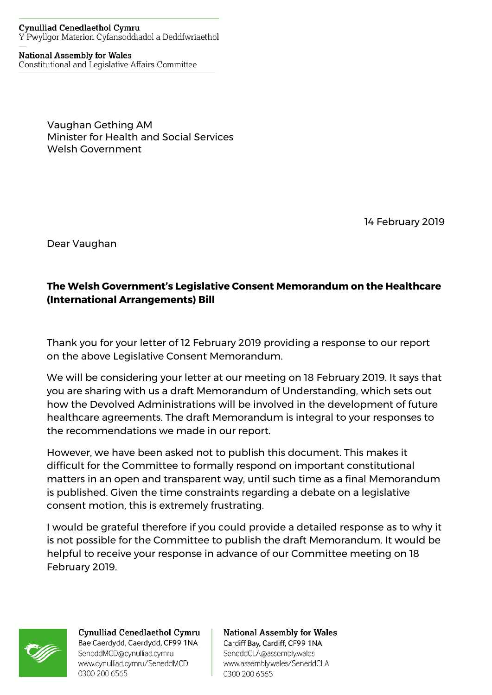## **Cynulliad Cenedlaethol Cymru** Y Pwyllgor Materion Cyfansoddiadol a Deddfwriaethol

**National Assembly for Wales** Constitutional and Legislative Affairs Committee

> Vaughan Gething AM Minister for Health and Social Services Welsh Government

> > 14 February 2019

Dear Vaughan

## **The Welsh Government's Legislative Consent Memorandum on the Healthcare (International Arrangements) Bill**

Thank you for your letter of 12 February 2019 providing a response to our report on the above Legislative Consent Memorandum.

We will be considering your letter at our meeting on 18 February 2019. It says that you are sharing with us a draft Memorandum of Understanding, which sets out how the Devolved Administrations will be involved in the development of future healthcare agreements. The draft Memorandum is integral to your responses to the recommendations we made in our report.

However, we have been asked not to publish this document. This makes it difficult for the Committee to formally respond on important constitutional matters in an open and transparent way, until such time as a final Memorandum is published. Given the time constraints regarding a debate on a legislative consent motion, this is extremely frustrating.

I would be grateful therefore if you could provide a detailed response as to why it is not possible for the Committee to publish the draft Memorandum. It would be helpful to receive your response in advance of our Committee meeting on 18 February 2019.



Cynulliad Cenedlaethol Cymru Bae Caerdydd, Caerdydd, CF99 1NA SeneddMCD@cynulliad.cymru www.cynulliad.cymru/SeneddMCD 0300 200 6565

**National Assembly for Wales** Cardiff Bay, Cardiff, CF99 1NA SeneddCLA@assembly.wales www.assembly.wales/SeneddCLA 0300 200 6565